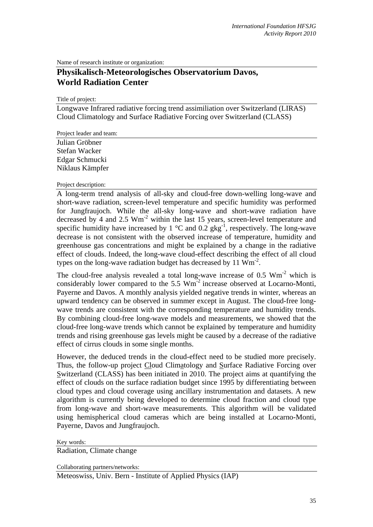Name of research institute or organization:

## **Physikalisch-Meteorologisches Observatorium Davos, World Radiation Center**

Title of project:

Longwave Infrared radiative forcing trend assimiliation over Switzerland (LIRAS) Cloud Climatology and Surface Radiative Forcing over Switzerland (CLASS)

Project leader and team:

Julian Gröbner Stefan Wacker Edgar Schmucki Niklaus Kämpfer

Project description:

A long-term trend analysis of all-sky and cloud-free down-welling long-wave and short-wave radiation, screen-level temperature and specific humidity was performed for Jungfraujoch. While the all-sky long-wave and short-wave radiation have decreased by 4 and 2.5  $Wm<sup>2</sup>$  within the last 15 years, screen-level temperature and specific humidity have increased by 1  $^{\circ}$ C and 0.2 gkg<sup>-1</sup>, respectively. The long-wave decrease is not consistent with the observed increase of temperature, humidity and greenhouse gas concentrations and might be explained by a change in the radiative effect of clouds. Indeed, the long-wave cloud-effect describing the effect of all cloud types on the long-wave radiation budget has decreased by 11  $Wm<sup>-2</sup>$ .

The cloud-free analysis revealed a total long-wave increase of  $0.5 \text{ Wm}^{-2}$  which is considerably lower compared to the  $5.5 \text{ Wm}^2$  increase observed at Locarno-Monti, Payerne and Davos. A monthly analysis yielded negative trends in winter, whereas an upward tendency can be observed in summer except in August. The cloud-free longwave trends are consistent with the corresponding temperature and humidity trends. By combining cloud-free long-wave models and measurements, we showed that the cloud-free long-wave trends which cannot be explained by temperature and humidity trends and rising greenhouse gas levels might be caused by a decrease of the radiative effect of cirrus clouds in some single months.

However, the deduced trends in the cloud-effect need to be studied more precisely. Thus, the follow-up project Cloud Climatology and Surface Radiative Forcing over Switzerland (CLASS) has been initiated in 2010. The project aims at quantifying the effect of clouds on the surface radiation budget since 1995 by differentiating between cloud types and cloud coverage using ancillary instrumentation and datasets. A new algorithm is currently being developed to determine cloud fraction and cloud type from long-wave and short-wave measurements. This algorithm will be validated using hemispherical cloud cameras which are being installed at Locarno-Monti, Payerne, Davos and Jungfraujoch.

Key words:

Radiation, Climate change

Collaborating partners/networks:

Meteoswiss, Univ. Bern - Institute of Applied Physics (IAP)